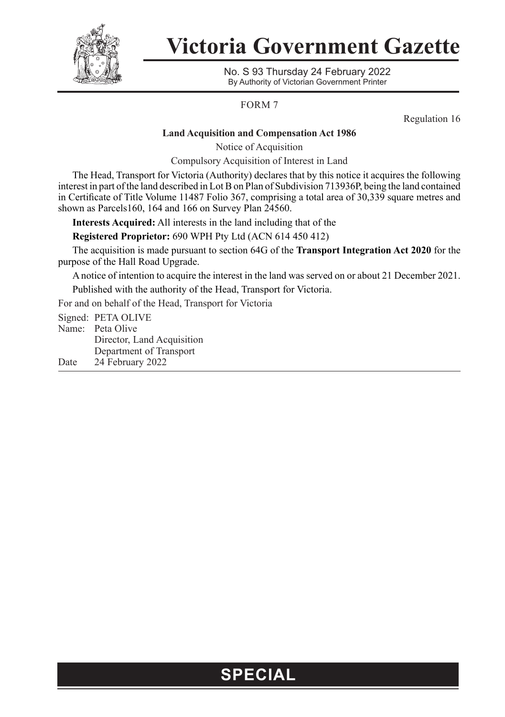

## **Victoria Government Gazette**

No. S 93 Thursday 24 February 2022 By Authority of Victorian Government Printer

FORM 7

Regulation 16

#### **Land Acquisition and Compensation Act 1986**

Notice of Acquisition

Compulsory Acquisition of Interest in Land

The Head, Transport for Victoria (Authority) declares that by this notice it acquires the following interest in part of the land described in Lot B on Plan of Subdivision 713936P, being the land contained in Certificate of Title Volume 11487 Folio 367, comprising a total area of 30,339 square metres and shown as Parcels160, 164 and 166 on Survey Plan 24560.

**Interests Acquired:** All interests in the land including that of the

**Registered Proprietor:** 690 WPH Pty Ltd (ACN 614 450 412)

The acquisition is made pursuant to section 64G of the **Transport Integration Act 2020** for the purpose of the Hall Road Upgrade.

A notice of intention to acquire the interest in the land was served on or about 21 December 2021.

Published with the authority of the Head, Transport for Victoria.

For and on behalf of the Head, Transport for Victoria

Signed: PETA OLIVE

Name: Peta Olive Director, Land Acquisition Department of Transport Date 24 February 2022

## **SPECIAL**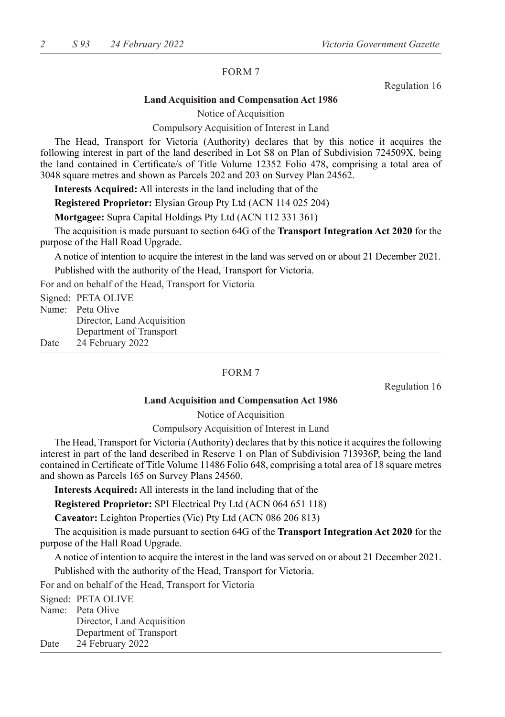#### FORM 7

Regulation 16

#### **Land Acquisition and Compensation Act 1986**

Notice of Acquisition

#### Compulsory Acquisition of Interest in Land

The Head, Transport for Victoria (Authority) declares that by this notice it acquires the following interest in part of the land described in Lot S8 on Plan of Subdivision 724509X, being the land contained in Certificate/s of Title Volume 12352 Folio 478, comprising a total area of 3048 square metres and shown as Parcels 202 and 203 on Survey Plan 24562.

**Interests Acquired:** All interests in the land including that of the

**Registered Proprietor:** Elysian Group Pty Ltd (ACN 114 025 204)

**Mortgagee:** Supra Capital Holdings Pty Ltd (ACN 112 331 361)

The acquisition is made pursuant to section 64G of the **Transport Integration Act 2020** for the purpose of the Hall Road Upgrade.

A notice of intention to acquire the interest in the land was served on or about 21 December 2021.

Published with the authority of the Head, Transport for Victoria.

For and on behalf of the Head, Transport for Victoria

|      | Signed: PETA OLIVE         |
|------|----------------------------|
|      | Name: Peta Olive           |
|      | Director, Land Acquisition |
|      | Department of Transport    |
| Date | 24 February 2022           |

#### FORM 7

Regulation 16

#### **Land Acquisition and Compensation Act 1986**

Notice of Acquisition

Compulsory Acquisition of Interest in Land

The Head, Transport for Victoria (Authority) declares that by this notice it acquires the following interest in part of the land described in Reserve 1 on Plan of Subdivision 713936P, being the land contained in Certificate of Title Volume 11486 Folio 648, comprising a total area of 18 square metres and shown as Parcels 165 on Survey Plans 24560.

**Interests Acquired:** All interests in the land including that of the

**Registered Proprietor:** SPI Electrical Pty Ltd (ACN 064 651 118)

**Caveator:** Leighton Properties (Vic) Pty Ltd (ACN 086 206 813)

The acquisition is made pursuant to section 64G of the **Transport Integration Act 2020** for the purpose of the Hall Road Upgrade.

A notice of intention to acquire the interest in the land was served on or about 21 December 2021.

Published with the authority of the Head, Transport for Victoria.

For and on behalf of the Head, Transport for Victoria

Signed: PETA OLIVE

Name: Peta Olive

Director, Land Acquisition Department of Transport

Date 24 February 2022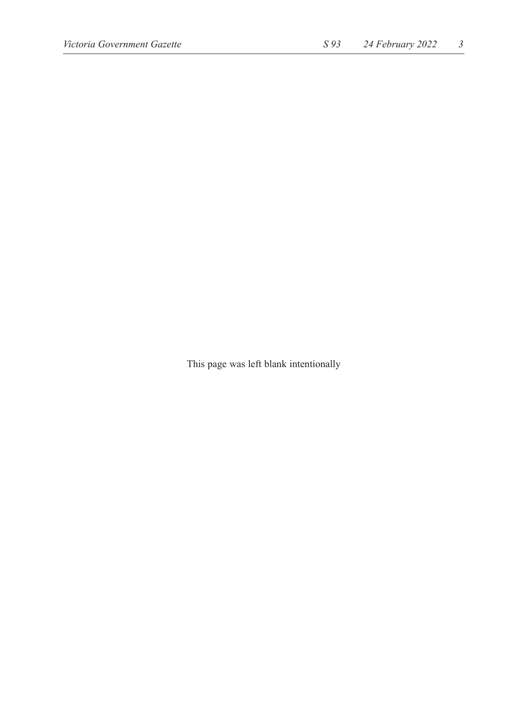This page was left blank intentionally